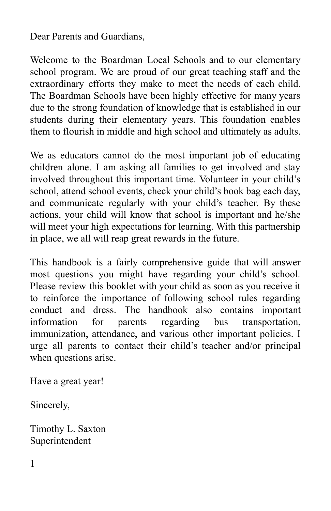Dear Parents and Guardians,

Welcome to the Boardman Local Schools and to our elementary school program. We are proud of our great teaching staff and the extraordinary efforts they make to meet the needs of each child. The Boardman Schools have been highly effective for many years due to the strong foundation of knowledge that is established in our students during their elementary years. This foundation enables them to flourish in middle and high school and ultimately as adults.

We as educators cannot do the most important job of educating children alone. I am asking all families to get involved and stay involved throughout this important time. Volunteer in your child's school, attend school events, check your child's book bag each day, and communicate regularly with your child's teacher. By these actions, your child will know that school is important and he/she will meet your high expectations for learning. With this partnership in place, we all will reap great rewards in the future.

This handbook is a fairly comprehensive guide that will answer most questions you might have regarding your child's school. Please review this booklet with your child as soon as you receive it to reinforce the importance of following school rules regarding conduct and dress. The handbook also contains important information for parents regarding bus transportation, immunization, attendance, and various other important policies. I urge all parents to contact their child's teacher and/or principal when questions arise.

Have a great year!

Sincerely,

Timothy L. Saxton Superintendent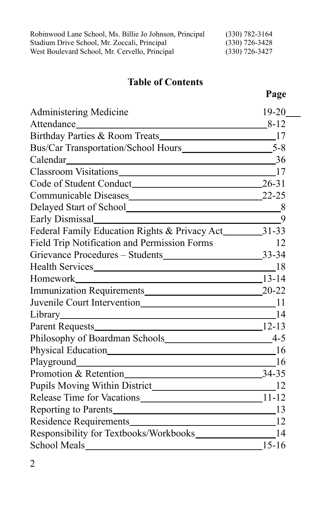| Robinwood Lane School, Ms. Billie Jo Johnson, Principal | $(330)$ 782-3164 |
|---------------------------------------------------------|------------------|
| Stadium Drive School, Mr. Zoccali, Principal            | $(330)$ 726-3428 |
| West Boulevard School, Mr. Cervello, Principal          | $(330)$ 726-3427 |

## **Table of Contents**

# **Page**

| <b>Administering Medicine</b>                               | $19 - 20$ |
|-------------------------------------------------------------|-----------|
|                                                             | $8 - 12$  |
|                                                             |           |
|                                                             |           |
| Calendar 36                                                 |           |
|                                                             |           |
|                                                             |           |
|                                                             | $22 - 25$ |
| Delayed Start of School<br>8                                |           |
|                                                             | 9         |
| Federal Family Education Rights & Privacy Act_________31-33 |           |
| Field Trip Notification and Permission Forms                | 12        |
|                                                             |           |
| Health Services 18                                          |           |
|                                                             |           |
|                                                             |           |
|                                                             |           |
|                                                             |           |
|                                                             |           |
|                                                             |           |
|                                                             |           |
|                                                             |           |
|                                                             |           |
|                                                             |           |
| Release Time for Vacations 11-12                            |           |
|                                                             |           |
| Residence Requirements 12                                   |           |
|                                                             |           |
| School Meals                                                | $15-16$   |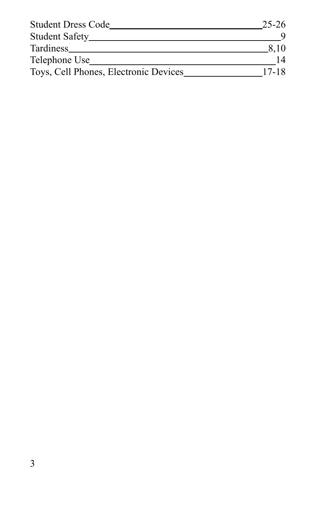| <b>Student Dress Code</b>             | 25-26 |
|---------------------------------------|-------|
| Student Safety_                       |       |
| Tardiness_                            | 8.10  |
| Telephone Use                         |       |
| Toys, Cell Phones, Electronic Devices | 17-18 |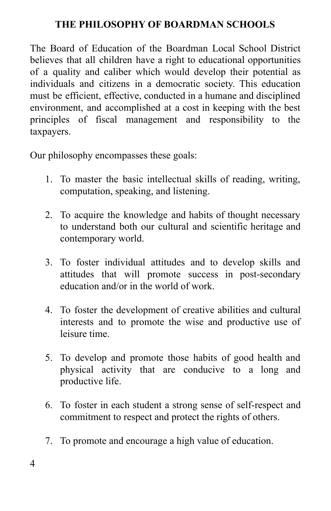#### **THE PHILOSOPHY OF BOARDMAN SCHOOLS**

The Board of Education of the Boardman Local School District believes that all children have a right to educational opportunities of a quality and caliber which would develop their potential as individuals and citizens in a democratic society. This education must be efficient, effective, conducted in a humane and disciplined environment, and accomplished at a cost in keeping with the best principles of fiscal management and responsibility to the taxpayers.

Our philosophy encompasses these goals:

- 1. To master the basic intellectual skills of reading, writing, computation, speaking, and listening.
- 2. To acquire the knowledge and habits of thought necessary to understand both our cultural and scientific heritage and contemporary world.
- 3. To foster individual attitudes and to develop skills and attitudes that will promote success in post-secondary education and/or in the world of work.
- 4. To foster the development of creative abilities and cultural interests and to promote the wise and productive use of leisure time.
- 5. To develop and promote those habits of good health and physical activity that are conducive to a long and productive life.
- 6. To foster in each student a strong sense of self-respect and commitment to respect and protect the rights of others.
- 7. To promote and encourage a high value of education.

4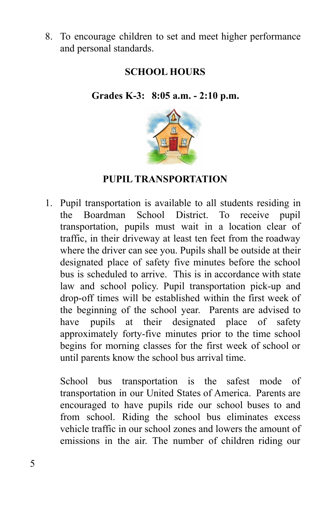8. To encourage children to set and meet higher performance and personal standards.

## **SCHOOL HOURS**

**Grades K-3: 8:05 a.m. - 2:10 p.m.**



#### **PUPIL TRANSPORTATION**

1. Pupil transportation is available to all students residing in the Boardman School District. To receive pupil transportation, pupils must wait in a location clear of traffic, in their driveway at least ten feet from the roadway where the driver can see you. Pupils shall be outside at their designated place of safety five minutes before the school bus is scheduled to arrive. This is in accordance with state law and school policy. Pupil transportation pick-up and drop-off times will be established within the first week of the beginning of the school year. Parents are advised to have pupils at their designated place of safety approximately forty-five minutes prior to the time school begins for morning classes for the first week of school or until parents know the school bus arrival time.

School bus transportation is the safest mode of transportation in our United States of America. Parents are encouraged to have pupils ride our school buses to and from school. Riding the school bus eliminates excess vehicle traffic in our school zones and lowers the amount of emissions in the air. The number of children riding our

5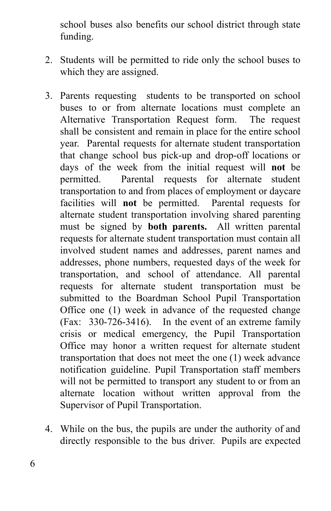school buses also benefits our school district through state funding.

- 2. Students will be permitted to ride only the school buses to which they are assigned.
- 3. Parents requesting students to be transported on school buses to or from alternate locations must complete an Alternative Transportation Request form. The request shall be consistent and remain in place for the entire school year. Parental requests for alternate student transportation that change school bus pick-up and drop-off locations or days of the week from the initial request will **not** be permitted. Parental requests for alternate student transportation to and from places of employment or daycare facilities will **not** be permitted. Parental requests for alternate student transportation involving shared parenting must be signed by **both parents.** All written parental requests for alternate student transportation must contain all involved student names and addresses, parent names and addresses, phone numbers, requested days of the week for transportation, and school of attendance. All parental requests for alternate student transportation must be submitted to the Boardman School Pupil Transportation Office one (1) week in advance of the requested change (Fax: 330-726-3416). In the event of an extreme family crisis or medical emergency, the Pupil Transportation Office may honor a written request for alternate student transportation that does not meet the one (1) week advance notification guideline. Pupil Transportation staff members will not be permitted to transport any student to or from an alternate location without written approval from the Supervisor of Pupil Transportation.
- 4. While on the bus, the pupils are under the authority of and directly responsible to the bus driver. Pupils are expected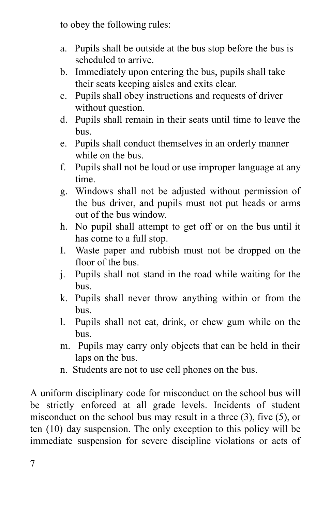to obey the following rules:

- a. Pupils shall be outside at the bus stop before the bus is scheduled to arrive.
- b. Immediately upon entering the bus, pupils shall take their seats keeping aisles and exits clear.
- c. Pupils shall obey instructions and requests of driver without question.
- d. Pupils shall remain in their seats until time to leave the bus.
- e. Pupils shall conduct themselves in an orderly manner while on the bus.
- f. Pupils shall not be loud or use improper language at any time.
- g. Windows shall not be adjusted without permission of the bus driver, and pupils must not put heads or arms out of the bus window.
- h. No pupil shall attempt to get off or on the bus until it has come to a full stop.
- I. Waste paper and rubbish must not be dropped on the floor of the bus.
- j. Pupils shall not stand in the road while waiting for the bus.
- k. Pupils shall never throw anything within or from the bus.
- l. Pupils shall not eat, drink, or chew gum while on the bus.
- m. Pupils may carry only objects that can be held in their laps on the bus.
- n. Students are not to use cell phones on the bus.

A uniform disciplinary code for misconduct on the school bus will be strictly enforced at all grade levels. Incidents of student misconduct on the school bus may result in a three (3), five (5), or ten (10) day suspension. The only exception to this policy will be immediate suspension for severe discipline violations or acts of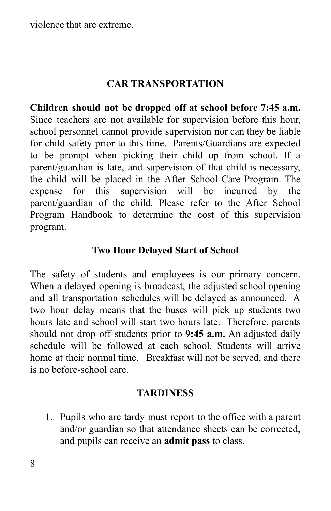violence that are extreme.

#### **CAR TRANSPORTATION**

**Children should not be dropped off at school before 7:45 a.m.** Since teachers are not available for supervision before this hour, school personnel cannot provide supervision nor can they be liable for child safety prior to this time. Parents/Guardians are expected to be prompt when picking their child up from school. If a parent/guardian is late, and supervision of that child is necessary, the child will be placed in the After School Care Program. The expense for this supervision will be incurred by the parent/guardian of the child. Please refer to the After School Program Handbook to determine the cost of this supervision program.

#### **Two Hour Delayed Start of School**

The safety of students and employees is our primary concern. When a delayed opening is broadcast, the adjusted school opening and all transportation schedules will be delayed as announced. A two hour delay means that the buses will pick up students two hours late and school will start two hours late. Therefore, parents should not drop off students prior to **9:45 a.m.** An adjusted daily schedule will be followed at each school. Students will arrive home at their normal time. Breakfast will not be served, and there is no before-school care.

#### **TARDINESS**

1. Pupils who are tardy must report to the office with a parent and/or guardian so that attendance sheets can be corrected, and pupils can receive an **admit pass** to class.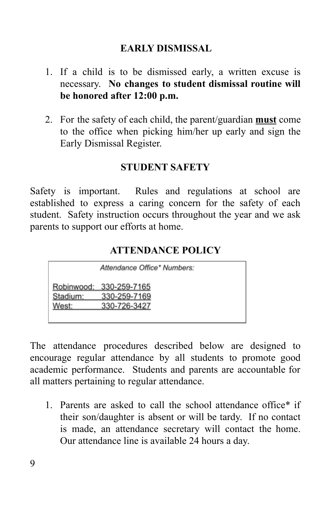#### **EARLY DISMISSAL**

- 1. If a child is to be dismissed early, a written excuse is necessary. **No changes to student dismissal routine will be honored after 12:00 p.m.**
- 2. For the safety of each child, the parent/guardian **must** come to the office when picking him/her up early and sign the Early Dismissal Register.

#### **STUDENT SAFETY**

Safety is important. Rules and regulations at school are established to express a caring concern for the safety of each student. Safety instruction occurs throughout the year and we ask parents to support our efforts at home.

#### **ATTENDANCE POLICY**

|                   | Attendance Office* Numbers:                             |
|-------------------|---------------------------------------------------------|
| Stadium:<br>West: | Robinwood: 330-259-7165<br>330-259-7169<br>330-726-3427 |

The attendance procedures described below are designed to encourage regular attendance by all students to promote good academic performance. Students and parents are accountable for all matters pertaining to regular attendance.

1. Parents are asked to call the school attendance office\* if their son/daughter is absent or will be tardy. If no contact is made, an attendance secretary will contact the home. Our attendance line is available 24 hours a day.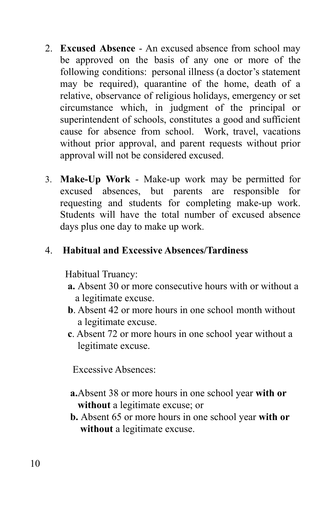- 2. **Excused Absence** An excused absence from school may be approved on the basis of any one or more of the following conditions: personal illness (a doctor's statement may be required), quarantine of the home, death of a relative, observance of religious holidays, emergency or set circumstance which, in judgment of the principal or superintendent of schools, constitutes a good and sufficient cause for absence from school. Work, travel, vacations without prior approval, and parent requests without prior approval will not be considered excused.
- 3. **Make-Up Work** Make-up work may be permitted for excused absences, but parents are responsible for requesting and students for completing make-up work. Students will have the total number of excused absence days plus one day to make up work.

## 4. **Habitual and Excessive Absences/Tardiness**

Habitual Truancy:

- **a.** Absent 30 or more consecutive hours with or without a a legitimate excuse.
- **b**. Absent 42 or more hours in one school month without a legitimate excuse.
- **c**. Absent 72 or more hours in one school year without a legitimate excuse.

Excessive Absences:

- **a.**Absent 38 or more hours in one school year **with or without** a legitimate excuse; or
- **b.** Absent 65 or more hours in one school year **with or without** a legitimate excuse.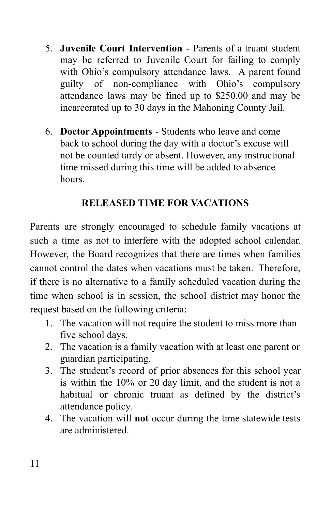- 5. **Juvenile Court Intervention** Parents of a truant student may be referred to Juvenile Court for failing to comply with Ohio's compulsory attendance laws. A parent found guilty of non-compliance with Ohio's compulsory attendance laws may be fined up to \$250.00 and may be incarcerated up to 30 days in the Mahoning County Jail.
- 6. **Doctor Appointments** Students who leave and come back to school during the day with a doctor's excuse will not be counted tardy or absent. However, any instructional time missed during this time will be added to absence hours.

## **RELEASED TIME FOR VACATIONS**

Parents are strongly encouraged to schedule family vacations at such a time as not to interfere with the adopted school calendar. However, the Board recognizes that there are times when families cannot control the dates when vacations must be taken. Therefore, if there is no alternative to a family scheduled vacation during the time when school is in session, the school district may honor the request based on the following criteria:

- 1. The vacation will not require the student to miss more than five school days.
- 2. The vacation is a family vacation with at least one parent or guardian participating.
- 3. The student's record of prior absences for this school year is within the 10% or 20 day limit, and the student is not a habitual or chronic truant as defined by the district's attendance policy.
- 4. The vacation will **not** occur during the time statewide tests are administered.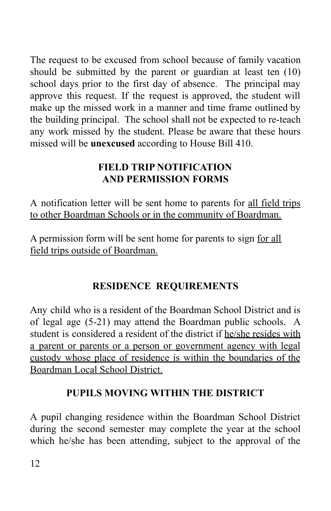The request to be excused from school because of family vacation should be submitted by the parent or guardian at least ten (10) school days prior to the first day of absence. The principal may approve this request. If the request is approved, the student will make up the missed work in a manner and time frame outlined by the building principal. The school shall not be expected to re-teach any work missed by the student. Please be aware that these hours missed will be **unexcused** according to House Bill 410.

## **FIELD TRIP NOTIFICATION AND PERMISSION FORMS**

A notification letter will be sent home to parents for all field trips to other Boardman Schools or in the community of Boardman.

A permission form will be sent home for parents to sign for all field trips outside of Boardman.

# **RESIDENCE REQUIREMENTS**

Any child who is a resident of the Boardman School District and is of legal age (5-21) may attend the Boardman public schools. A student is considered a resident of the district if he/she resides with a parent or parents or a person or government agency with legal custody whose place of residence is within the boundaries of the Boardman Local School District.

# **PUPILS MOVING WITHIN THE DISTRICT**

A pupil changing residence within the Boardman School District during the second semester may complete the year at the school which he/she has been attending, subject to the approval of the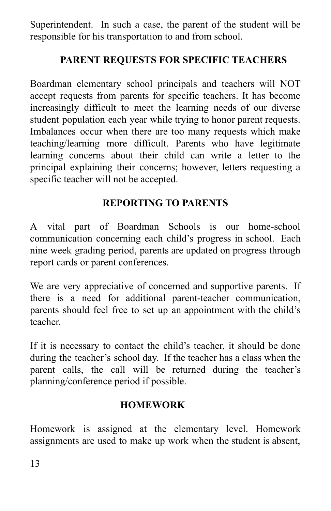Superintendent. In such a case, the parent of the student will be responsible for his transportation to and from school.

## **PARENT REQUESTS FOR SPECIFIC TEACHERS**

Boardman elementary school principals and teachers will NOT accept requests from parents for specific teachers. It has become increasingly difficult to meet the learning needs of our diverse student population each year while trying to honor parent requests. Imbalances occur when there are too many requests which make teaching/learning more difficult. Parents who have legitimate learning concerns about their child can write a letter to the principal explaining their concerns; however, letters requesting a specific teacher will not be accepted.

## **REPORTING TO PARENTS**

A vital part of Boardman Schools is our home-school communication concerning each child's progress in school. Each nine week grading period, parents are updated on progress through report cards or parent conferences.

We are very appreciative of concerned and supportive parents. If there is a need for additional parent-teacher communication, parents should feel free to set up an appointment with the child's teacher.

If it is necessary to contact the child's teacher, it should be done during the teacher's school day. If the teacher has a class when the parent calls, the call will be returned during the teacher's planning/conference period if possible.

#### **HOMEWORK**

Homework is assigned at the elementary level. Homework assignments are used to make up work when the student is absent,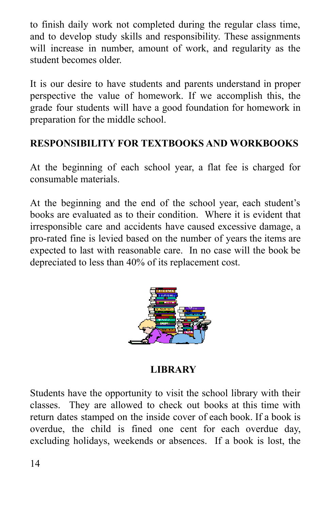to finish daily work not completed during the regular class time, and to develop study skills and responsibility. These assignments will increase in number, amount of work, and regularity as the student becomes older.

It is our desire to have students and parents understand in proper perspective the value of homework. If we accomplish this, the grade four students will have a good foundation for homework in preparation for the middle school.

## **RESPONSIBILITY FOR TEXTBOOKS AND WORKBOOKS**

At the beginning of each school year, a flat fee is charged for consumable materials.

At the beginning and the end of the school year, each student's books are evaluated as to their condition. Where it is evident that irresponsible care and accidents have caused excessive damage, a pro-rated fine is levied based on the number of years the items are expected to last with reasonable care. In no case will the book be depreciated to less than 40% of its replacement cost.



**LIBRARY**

Students have the opportunity to visit the school library with their classes. They are allowed to check out books at this time with return dates stamped on the inside cover of each book. If a book is overdue, the child is fined one cent for each overdue day, excluding holidays, weekends or absences. If a book is lost, the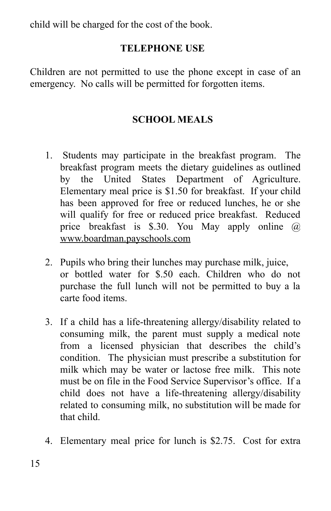child will be charged for the cost of the book.

#### **TELEPHONE USE**

Children are not permitted to use the phone except in case of an emergency. No calls will be permitted for forgotten items.

#### **SCHOOL MEALS**

- 1. Students may participate in the breakfast program. The breakfast program meets the dietary guidelines as outlined by the United States Department of Agriculture. Elementary meal price is \$1.50 for breakfast. If your child has been approved for free or reduced lunches, he or she will qualify for free or reduced price breakfast. Reduced price breakfast is \$.30. You May apply online @ [www.boardman.payschools.com](http://www.boardman.payschools.com)
- 2. Pupils who bring their lunches may purchase milk, juice, or bottled water for \$.50 each. Children who do not purchase the full lunch will not be permitted to buy a la carte food items.
- 3. If a child has a life-threatening allergy/disability related to consuming milk, the parent must supply a medical note from a licensed physician that describes the child's condition. The physician must prescribe a substitution for milk which may be water or lactose free milk. This note must be on file in the Food Service Supervisor's office. If a child does not have a life-threatening allergy/disability related to consuming milk, no substitution will be made for that child.
- 4. Elementary meal price for lunch is \$2.75. Cost for extra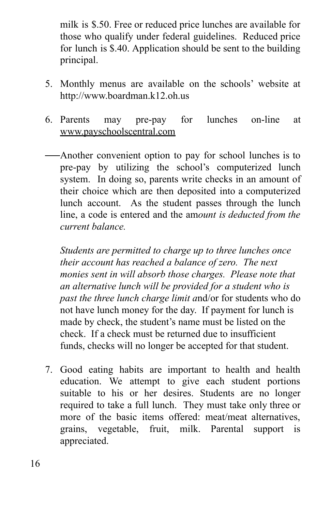milk is \$.50. Free or reduced price lunches are available for those who qualify under federal guidelines. Reduced price for lunch is \$.40. Application should be sent to the building principal.

- 5. Monthly menus are available on the schools' website at http://www.boardman.k12.oh.us
- 6. Parents may pre-pay for lunches on-line at [www.payschoolscentral.com](http://www.payschoolscentral.com)
- Another convenient option to pay for school lunches is to pre-pay by utilizing the school's computerized lunch system. In doing so, parents write checks in an amount of their choice which are then deposited into a computerized lunch account. As the student passes through the lunch line, a code is entered and the am*ount is deducted from the current balance.*

*Students are permitted to charge up to three lunches once their account has reached a balance of zero. The next monies sent in will absorb those charges. Please note that an alternative lunch will be provided for a student who is past the three lunch charge limit a*nd/or for students who do not have lunch money for the day. If payment for lunch is made by check, the student's name must be listed on the check. If a check must be returned due to insufficient funds, checks will no longer be accepted for that student.

7. Good eating habits are important to health and health education. We attempt to give each student portions suitable to his or her desires. Students are no longer required to take a full lunch. They must take only three or more of the basic items offered: meat/meat alternatives, grains, vegetable, fruit, milk. Parental support is appreciated.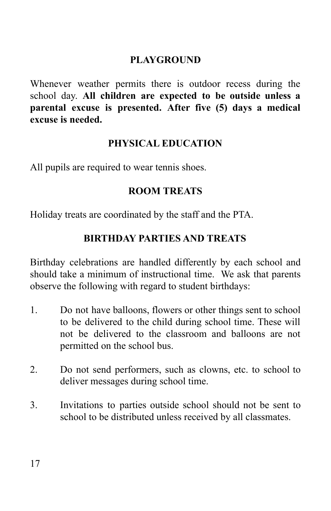#### **PLAYGROUND**

Whenever weather permits there is outdoor recess during the school day. **All children are expected to be outside unless a parental excuse is presented. After five (5) days a medical excuse is needed.**

#### **PHYSICAL EDUCATION**

All pupils are required to wear tennis shoes.

#### **ROOM TREATS**

Holiday treats are coordinated by the staff and the PTA.

## **BIRTHDAY PARTIES AND TREATS**

Birthday celebrations are handled differently by each school and should take a minimum of instructional time. We ask that parents observe the following with regard to student birthdays:

- 1. Do not have balloons, flowers or other things sent to school to be delivered to the child during school time. These will not be delivered to the classroom and balloons are not permitted on the school bus.
- 2. Do not send performers, such as clowns, etc. to school to deliver messages during school time.
- 3. Invitations to parties outside school should not be sent to school to be distributed unless received by all classmates.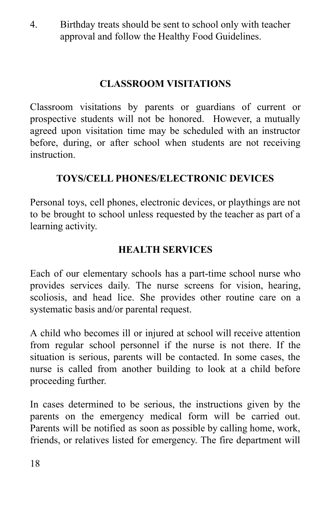4. Birthday treats should be sent to school only with teacher approval and follow the Healthy Food Guidelines.

# **CLASSROOM VISITATIONS**

Classroom visitations by parents or guardians of current or prospective students will not be honored. However, a mutually agreed upon visitation time may be scheduled with an instructor before, during, or after school when students are not receiving instruction.

## **TOYS/CELL PHONES/ELECTRONIC DEVICES**

Personal toys, cell phones, electronic devices, or playthings are not to be brought to school unless requested by the teacher as part of a learning activity.

#### **HEALTH SERVICES**

Each of our elementary schools has a part-time school nurse who provides services daily. The nurse screens for vision, hearing, scoliosis, and head lice. She provides other routine care on a systematic basis and/or parental request.

A child who becomes ill or injured at school will receive attention from regular school personnel if the nurse is not there. If the situation is serious, parents will be contacted. In some cases, the nurse is called from another building to look at a child before proceeding further.

In cases determined to be serious, the instructions given by the parents on the emergency medical form will be carried out. Parents will be notified as soon as possible by calling home, work, friends, or relatives listed for emergency. The fire department will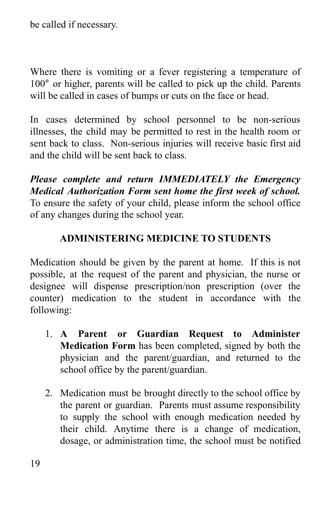be called if necessary.

Where there is vomiting or a fever registering a temperature of 100° or higher, parents will be called to pick up the child. Parents will be called in cases of bumps or cuts on the face or head.

In cases determined by school personnel to be non-serious illnesses, the child may be permitted to rest in the health room or sent back to class. Non-serious injuries will receive basic first aid and the child will be sent back to class.

*Please complete and return IMMEDIATELY the Emergency Medical Authorization Form sent home the first week of school.* To ensure the safety of your child, please inform the school office of any changes during the school year.

#### **ADMINISTERING MEDICINE TO STUDENTS**

Medication should be given by the parent at home. If this is not possible, at the request of the parent and physician, the nurse or designee will dispense prescription/non prescription (over the counter) medication to the student in accordance with the following:

- 1. **A Parent or Guardian Request to Administer Medication Form** has been completed, signed by both the physician and the parent/guardian, and returned to the school office by the parent/guardian.
- 2. Medication must be brought directly to the school office by the parent or guardian. Parents must assume responsibility to supply the school with enough medication needed by their child. Anytime there is a change of medication, dosage, or administration time, the school must be notified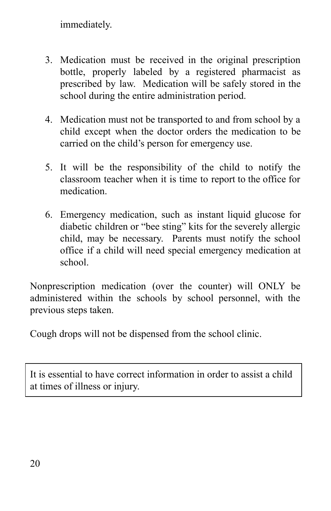immediately.

- 3. Medication must be received in the original prescription bottle, properly labeled by a registered pharmacist as prescribed by law. Medication will be safely stored in the school during the entire administration period.
- 4. Medication must not be transported to and from school by a child except when the doctor orders the medication to be carried on the child's person for emergency use.
- 5. It will be the responsibility of the child to notify the classroom teacher when it is time to report to the office for medication.
- 6. Emergency medication, such as instant liquid glucose for diabetic children or "bee sting" kits for the severely allergic child, may be necessary. Parents must notify the school office if a child will need special emergency medication at school.

Nonprescription medication (over the counter) will ONLY be administered within the schools by school personnel, with the previous steps taken.

Cough drops will not be dispensed from the school clinic.

It is essential to have correct information in order to assist a child at times of illness or injury.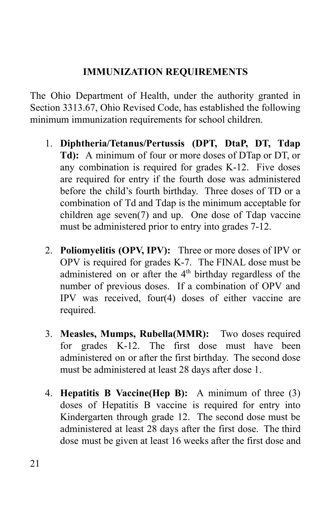## **IMMUNIZATION REQUIREMENTS**

The Ohio Department of Health, under the authority granted in Section 3313.67, Ohio Revised Code, has established the following minimum immunization requirements for school children.

- 1. **Diphtheria/Tetanus/Pertussis (DPT, DtaP, DT, Tdap Td):** A minimum of four or more doses of DTap or DT, or any combination is required for grades K-12. Five doses are required for entry if the fourth dose was administered before the child's fourth birthday. Three doses of TD or a combination of Td and Tdap is the minimum acceptable for children age seven(7) and up. One dose of Tdap vaccine must be administered prior to entry into grades 7-12.
- 2. **Poliomyelitis (OPV, IPV):** Three or more doses of IPV or OPV is required for grades K-7. The FINAL dose must be administered on or after the 4<sup>th</sup> birthday regardless of the number of previous doses. If a combination of OPV and IPV was received, four(4) doses of either vaccine are required.
- 3. **Measles, Mumps, Rubella(MMR):** Two doses required for grades K-12. The first dose must have been administered on or after the first birthday. The second dose must be administered at least 28 days after dose 1.
- 4. **Hepatitis B Vaccine(Hep B):** A minimum of three (3) doses of Hepatitis B vaccine is required for entry into Kindergarten through grade 12. The second dose must be administered at least 28 days after the first dose. The third dose must be given at least 16 weeks after the first dose and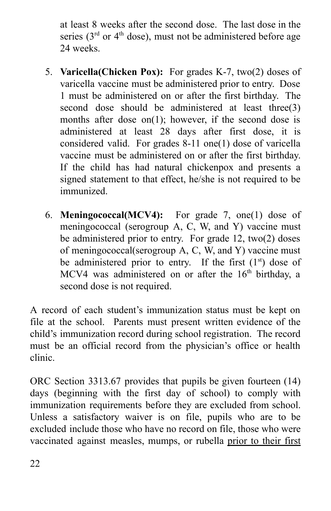at least 8 weeks after the second dose. The last dose in the series ( $3<sup>rd</sup>$  or  $4<sup>th</sup>$  dose), must not be administered before age 24 weeks.

- 5. **Varicella(Chicken Pox):** For grades K-7, two(2) doses of varicella vaccine must be administered prior to entry. Dose 1 must be administered on or after the first birthday. The second dose should be administered at least three(3) months after dose on $(1)$ ; however, if the second dose is administered at least 28 days after first dose, it is considered valid. For grades 8-11 one(1) dose of varicella vaccine must be administered on or after the first birthday. If the child has had natural chickenpox and presents a signed statement to that effect, he/she is not required to be immunized.
- 6. **Meningococcal(MCV4):** For grade 7, one(1) dose of meningococcal (serogroup A, C, W, and Y) vaccine must be administered prior to entry. For grade 12, two(2) doses of meningococcal(serogroup A, C, W, and Y) vaccine must be administered prior to entry. If the first  $(1<sup>st</sup>)$  dose of MCV4 was administered on or after the  $16<sup>th</sup>$  birthday, a second dose is not required.

A record of each student's immunization status must be kept on file at the school. Parents must present written evidence of the child's immunization record during school registration. The record must be an official record from the physician's office or health clinic.

ORC Section 3313.67 provides that pupils be given fourteen (14) days (beginning with the first day of school) to comply with immunization requirements before they are excluded from school. Unless a satisfactory waiver is on file, pupils who are to be excluded include those who have no record on file, those who were vaccinated against measles, mumps, or rubella prior to their first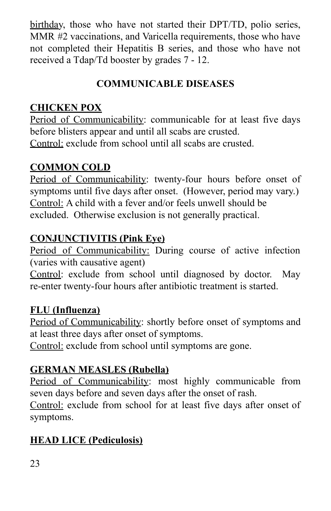birthday, those who have not started their DPT/TD, polio series, MMR #2 vaccinations, and Varicella requirements, those who have not completed their Hepatitis B series, and those who have not received a Tdap/Td booster by grades 7 - 12.

# **COMMUNICABLE DISEASES**

## **CHICKEN POX**

Period of Communicability: communicable for at least five days before blisters appear and until all scabs are crusted. Control: exclude from school until all scabs are crusted.

## **COMMON COLD**

Period of Communicability: twenty-four hours before onset of symptoms until five days after onset. (However, period may vary.) Control: A child with a fever and/or feels unwell should be excluded. Otherwise exclusion is not generally practical.

#### **CONJUNCTIVITIS (Pink Eye)**

Period of Communicability: During course of active infection (varies with causative agent)

Control: exclude from school until diagnosed by doctor. May re-enter twenty-four hours after antibiotic treatment is started.

## **FLU (Influenza)**

Period of Communicability: shortly before onset of symptoms and at least three days after onset of symptoms.

Control: exclude from school until symptoms are gone.

## **GERMAN MEASLES (Rubella)**

Period of Communicability: most highly communicable from seven days before and seven days after the onset of rash.

Control: exclude from school for at least five days after onset of symptoms.

# **HEAD LICE (Pediculosis)**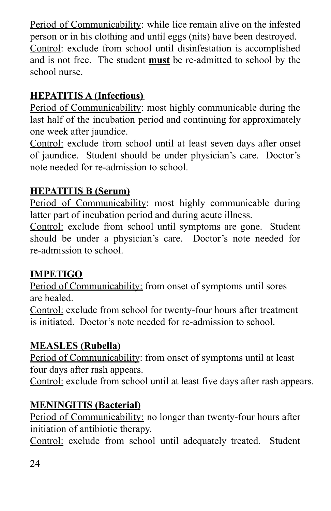Period of Communicability: while lice remain alive on the infested person or in his clothing and until eggs (nits) have been destroyed. Control: exclude from school until disinfestation is accomplished and is not free. The student **must** be re-admitted to school by the school nurse.

# **HEPATITIS A (Infectious)**

Period of Communicability: most highly communicable during the last half of the incubation period and continuing for approximately one week after jaundice.

Control: exclude from school until at least seven days after onset of jaundice. Student should be under physician's care. Doctor's note needed for re-admission to school.

# **HEPATITIS B (Serum)**

Period of Communicability: most highly communicable during latter part of incubation period and during acute illness.

Control: exclude from school until symptoms are gone. Student should be under a physician's care. Doctor's note needed for re-admission to school.

# **IMPETIGO**

Period of Communicability: from onset of symptoms until sores are healed.

Control: exclude from school for twenty-four hours after treatment is initiated. Doctor's note needed for re-admission to school.

# **MEASLES (Rubella)**

Period of Communicability: from onset of symptoms until at least four days after rash appears.

Control: exclude from school until at least five days after rash appears.

# **MENINGITIS (Bacterial)**

Period of Communicability: no longer than twenty-four hours after initiation of antibiotic therapy.

Control: exclude from school until adequately treated. Student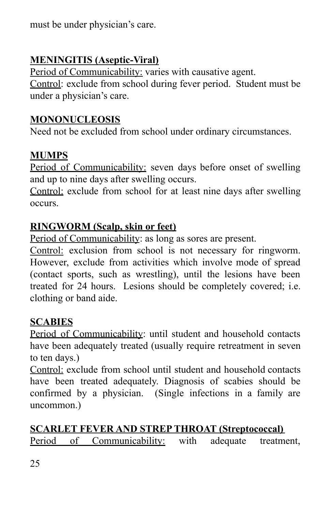must be under physician's care.

# **MENINGITIS (Aseptic-Viral)**

Period of Communicability: varies with causative agent. Control: exclude from school during fever period. Student must be under a physician's care.

#### **MONONUCLEOSIS**

Need not be excluded from school under ordinary circumstances.

## **MUMPS**

Period of Communicability: seven days before onset of swelling and up to nine days after swelling occurs.

Control: exclude from school for at least nine days after swelling occurs.

#### **RINGWORM (Scalp, skin or feet)**

Period of Communicability: as long as sores are present.

Control: exclusion from school is not necessary for ringworm. However, exclude from activities which involve mode of spread (contact sports, such as wrestling), until the lesions have been treated for 24 hours. Lesions should be completely covered; i.e. clothing or band aide.

## **SCABIES**

Period of Communicability: until student and household contacts have been adequately treated (usually require retreatment in seven to ten days.)

Control: exclude from school until student and household contacts have been treated adequately. Diagnosis of scabies should be confirmed by a physician. (Single infections in a family are uncommon.)

# **SCARLET FEVER AND STREP THROAT (Streptococcal)**

Period of Communicability: with adequate treatment,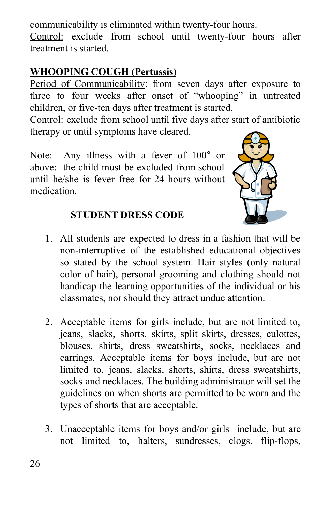communicability is eliminated within twenty-four hours.

Control: exclude from school until twenty-four hours after treatment is started.

## **WHOOPING COUGH (Pertussis)**

Period of Communicability: from seven days after exposure to three to four weeks after onset of "whooping" in untreated children, or five-ten days after treatment is started.

Control: exclude from school until five days after start of antibiotic therapy or until symptoms have cleared.

Note: Any illness with a fever of 100° or above: the child must be excluded from school until he/she is fever free for 24 hours without medication.



## **STUDENT DRESS CODE**

- 1. All students are expected to dress in a fashion that will be non-interruptive of the established educational objectives so stated by the school system. Hair styles (only natural color of hair), personal grooming and clothing should not handicap the learning opportunities of the individual or his classmates, nor should they attract undue attention.
- 2. Acceptable items for girls include, but are not limited to, jeans, slacks, shorts, skirts, split skirts, dresses, culottes, blouses, shirts, dress sweatshirts, socks, necklaces and earrings. Acceptable items for boys include, but are not limited to, jeans, slacks, shorts, shirts, dress sweatshirts, socks and necklaces. The building administrator will set the guidelines on when shorts are permitted to be worn and the types of shorts that are acceptable.
- 3. Unacceptable items for boys and/or girls include, but are not limited to, halters, sundresses, clogs, flip-flops,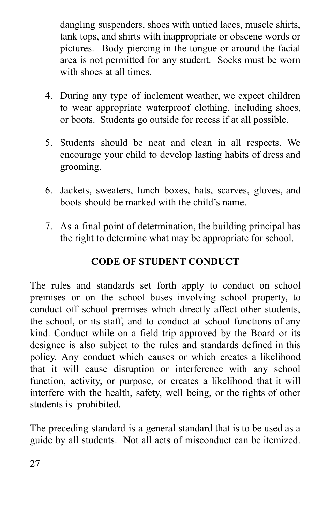dangling suspenders, shoes with untied laces, muscle shirts, tank tops, and shirts with inappropriate or obscene words or pictures. Body piercing in the tongue or around the facial area is not permitted for any student. Socks must be worn with shoes at all times.

- 4. During any type of inclement weather, we expect children to wear appropriate waterproof clothing, including shoes, or boots. Students go outside for recess if at all possible.
- 5. Students should be neat and clean in all respects. We encourage your child to develop lasting habits of dress and grooming.
- 6. Jackets, sweaters, lunch boxes, hats, scarves, gloves, and boots should be marked with the child's name.
- 7. As a final point of determination, the building principal has the right to determine what may be appropriate for school.

# **CODE OF STUDENT CONDUCT**

The rules and standards set forth apply to conduct on school premises or on the school buses involving school property, to conduct off school premises which directly affect other students, the school, or its staff, and to conduct at school functions of any kind. Conduct while on a field trip approved by the Board or its designee is also subject to the rules and standards defined in this policy. Any conduct which causes or which creates a likelihood that it will cause disruption or interference with any school function, activity, or purpose, or creates a likelihood that it will interfere with the health, safety, well being, or the rights of other students is prohibited.

The preceding standard is a general standard that is to be used as a guide by all students. Not all acts of misconduct can be itemized.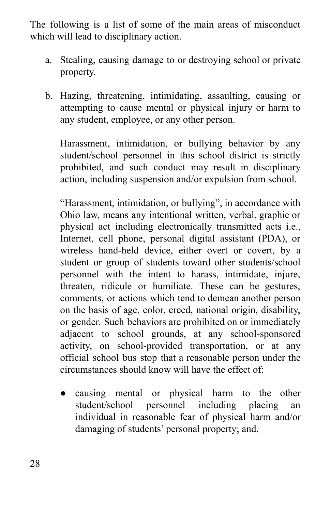The following is a list of some of the main areas of misconduct which will lead to disciplinary action.

- a. Stealing, causing damage to or destroying school or private property.
- b. Hazing, threatening, intimidating, assaulting, causing or attempting to cause mental or physical injury or harm to any student, employee, or any other person.

Harassment, intimidation, or bullying behavior by any student/school personnel in this school district is strictly prohibited, and such conduct may result in disciplinary action, including suspension and/or expulsion from school.

"Harassment, intimidation, or bullying", in accordance with Ohio law, means any intentional written, verbal, graphic or physical act including electronically transmitted acts i.e., Internet, cell phone, personal digital assistant (PDA), or wireless hand-held device, either overt or covert, by a student or group of students toward other students/school personnel with the intent to harass, intimidate, injure, threaten, ridicule or humiliate. These can be gestures, comments, or actions which tend to demean another person on the basis of age, color, creed, national origin, disability, or gender. Such behaviors are prohibited on or immediately adjacent to school grounds, at any school-sponsored activity, on school-provided transportation, or at any official school bus stop that a reasonable person under the circumstances should know will have the effect of:

● causing mental or physical harm to the other student/school personnel including placing an individual in reasonable fear of physical harm and/or damaging of students' personal property; and,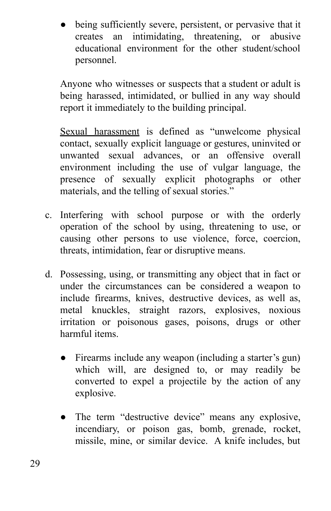being sufficiently severe, persistent, or pervasive that it creates an intimidating, threatening, or abusive educational environment for the other student/school personnel.

Anyone who witnesses or suspects that a student or adult is being harassed, intimidated, or bullied in any way should report it immediately to the building principal.

Sexual harassment is defined as "unwelcome physical contact, sexually explicit language or gestures, uninvited or unwanted sexual advances, or an offensive overall environment including the use of vulgar language, the presence of sexually explicit photographs or other materials, and the telling of sexual stories."

- c. Interfering with school purpose or with the orderly operation of the school by using, threatening to use, or causing other persons to use violence, force, coercion, threats, intimidation, fear or disruptive means.
- d. Possessing, using, or transmitting any object that in fact or under the circumstances can be considered a weapon to include firearms, knives, destructive devices, as well as, metal knuckles, straight razors, explosives, noxious irritation or poisonous gases, poisons, drugs or other harmful items.
	- Firearms include any weapon (including a starter's gun) which will, are designed to, or may readily be converted to expel a projectile by the action of any explosive.
	- The term "destructive device" means any explosive, incendiary, or poison gas, bomb, grenade, rocket, missile, mine, or similar device. A knife includes, but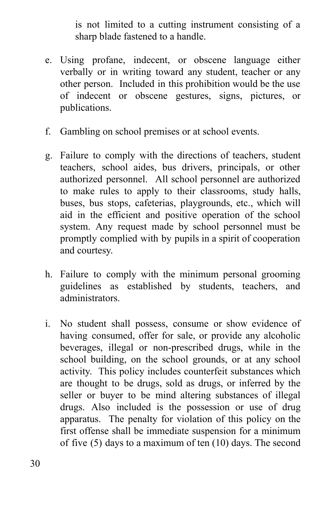is not limited to a cutting instrument consisting of a sharp blade fastened to a handle.

- e. Using profane, indecent, or obscene language either verbally or in writing toward any student, teacher or any other person. Included in this prohibition would be the use of indecent or obscene gestures, signs, pictures, or publications.
- f. Gambling on school premises or at school events.
- g. Failure to comply with the directions of teachers, student teachers, school aides, bus drivers, principals, or other authorized personnel. All school personnel are authorized to make rules to apply to their classrooms, study halls, buses, bus stops, cafeterias, playgrounds, etc., which will aid in the efficient and positive operation of the school system. Any request made by school personnel must be promptly complied with by pupils in a spirit of cooperation and courtesy.
- h. Failure to comply with the minimum personal grooming guidelines as established by students, teachers, and administrators.
- i. No student shall possess, consume or show evidence of having consumed, offer for sale, or provide any alcoholic beverages, illegal or non-prescribed drugs, while in the school building, on the school grounds, or at any school activity. This policy includes counterfeit substances which are thought to be drugs, sold as drugs, or inferred by the seller or buyer to be mind altering substances of illegal drugs. Also included is the possession or use of drug apparatus. The penalty for violation of this policy on the first offense shall be immediate suspension for a minimum of five (5) days to a maximum of ten (10) days. The second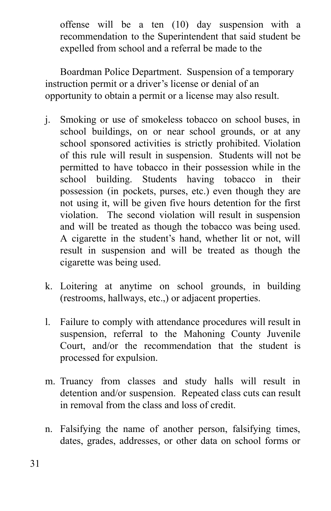offense will be a ten (10) day suspension with a recommendation to the Superintendent that said student be expelled from school and a referral be made to the

Boardman Police Department. Suspension of a temporary instruction permit or a driver's license or denial of an opportunity to obtain a permit or a license may also result.

- j. Smoking or use of smokeless tobacco on school buses, in school buildings, on or near school grounds, or at any school sponsored activities is strictly prohibited. Violation of this rule will result in suspension. Students will not be permitted to have tobacco in their possession while in the school building. Students having tobacco in their possession (in pockets, purses, etc.) even though they are not using it, will be given five hours detention for the first violation. The second violation will result in suspension and will be treated as though the tobacco was being used. A cigarette in the student's hand, whether lit or not, will result in suspension and will be treated as though the cigarette was being used.
- k. Loitering at anytime on school grounds, in building (restrooms, hallways, etc.,) or adjacent properties.
- l. Failure to comply with attendance procedures will result in suspension, referral to the Mahoning County Juvenile Court, and/or the recommendation that the student is processed for expulsion.
- m. Truancy from classes and study halls will result in detention and/or suspension. Repeated class cuts can result in removal from the class and loss of credit.
- n. Falsifying the name of another person, falsifying times, dates, grades, addresses, or other data on school forms or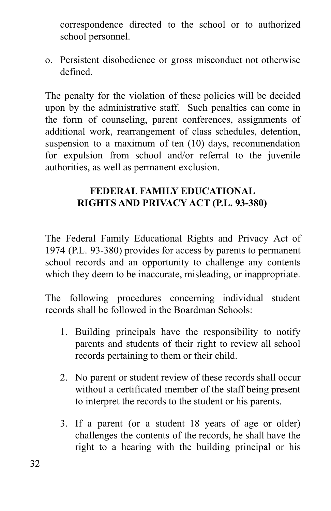correspondence directed to the school or to authorized school personnel.

o. Persistent disobedience or gross misconduct not otherwise defined.

The penalty for the violation of these policies will be decided upon by the administrative staff. Such penalties can come in the form of counseling, parent conferences, assignments of additional work, rearrangement of class schedules, detention, suspension to a maximum of ten (10) days, recommendation for expulsion from school and/or referral to the juvenile authorities, as well as permanent exclusion.

## **FEDERAL FAMILY EDUCATIONAL RIGHTS AND PRIVACY ACT (P.L. 93-380)**

The Federal Family Educational Rights and Privacy Act of 1974 (P.L. 93-380) provides for access by parents to permanent school records and an opportunity to challenge any contents which they deem to be inaccurate, misleading, or inappropriate.

The following procedures concerning individual student records shall be followed in the Boardman Schools:

- 1. Building principals have the responsibility to notify parents and students of their right to review all school records pertaining to them or their child.
- 2. No parent or student review of these records shall occur without a certificated member of the staff being present to interpret the records to the student or his parents.
- 3. If a parent (or a student 18 years of age or older) challenges the contents of the records, he shall have the right to a hearing with the building principal or his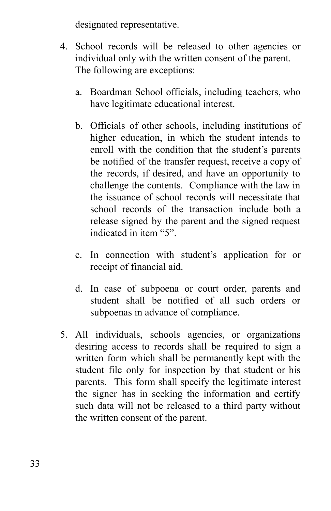designated representative.

- 4. School records will be released to other agencies or individual only with the written consent of the parent. The following are exceptions:
	- a. Boardman School officials, including teachers, who have legitimate educational interest.
	- b. Officials of other schools, including institutions of higher education, in which the student intends to enroll with the condition that the student's parents be notified of the transfer request, receive a copy of the records, if desired, and have an opportunity to challenge the contents. Compliance with the law in the issuance of school records will necessitate that school records of the transaction include both a release signed by the parent and the signed request indicated in item "5".
	- c. In connection with student's application for or receipt of financial aid.
	- d. In case of subpoena or court order, parents and student shall be notified of all such orders or subpoenas in advance of compliance.
- 5. All individuals, schools agencies, or organizations desiring access to records shall be required to sign a written form which shall be permanently kept with the student file only for inspection by that student or his parents. This form shall specify the legitimate interest the signer has in seeking the information and certify such data will not be released to a third party without the written consent of the parent.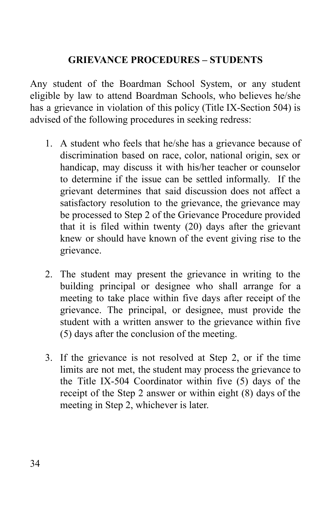## **GRIEVANCE PROCEDURES – STUDENTS**

Any student of the Boardman School System, or any student eligible by law to attend Boardman Schools, who believes he/she has a grievance in violation of this policy (Title IX-Section 504) is advised of the following procedures in seeking redress:

- 1. A student who feels that he/she has a grievance because of discrimination based on race, color, national origin, sex or handicap, may discuss it with his/her teacher or counselor to determine if the issue can be settled informally. If the grievant determines that said discussion does not affect a satisfactory resolution to the grievance, the grievance may be processed to Step 2 of the Grievance Procedure provided that it is filed within twenty (20) days after the grievant knew or should have known of the event giving rise to the grievance.
- 2. The student may present the grievance in writing to the building principal or designee who shall arrange for a meeting to take place within five days after receipt of the grievance. The principal, or designee, must provide the student with a written answer to the grievance within five (5) days after the conclusion of the meeting.
- 3. If the grievance is not resolved at Step 2, or if the time limits are not met, the student may process the grievance to the Title IX-504 Coordinator within five (5) days of the receipt of the Step 2 answer or within eight (8) days of the meeting in Step 2, whichever is later.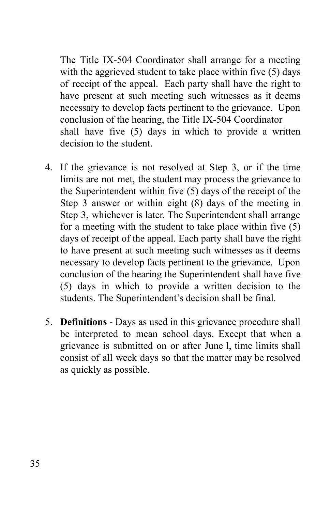The Title IX-504 Coordinator shall arrange for a meeting with the aggrieved student to take place within five (5) days of receipt of the appeal. Each party shall have the right to have present at such meeting such witnesses as it deems necessary to develop facts pertinent to the grievance. Upon conclusion of the hearing, the Title IX-504 Coordinator shall have five (5) days in which to provide a written decision to the student.

- 4. If the grievance is not resolved at Step 3, or if the time limits are not met, the student may process the grievance to the Superintendent within five (5) days of the receipt of the Step 3 answer or within eight (8) days of the meeting in Step 3, whichever is later. The Superintendent shall arrange for a meeting with the student to take place within five (5) days of receipt of the appeal. Each party shall have the right to have present at such meeting such witnesses as it deems necessary to develop facts pertinent to the grievance. Upon conclusion of the hearing the Superintendent shall have five (5) days in which to provide a written decision to the students. The Superintendent's decision shall be final.
- 5. **Definitions** Days as used in this grievance procedure shall be interpreted to mean school days. Except that when a grievance is submitted on or after June l, time limits shall consist of all week days so that the matter may be resolved as quickly as possible.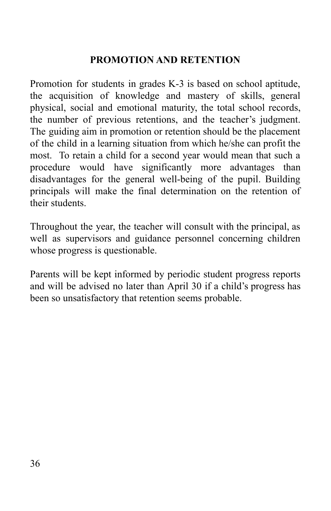## **PROMOTION AND RETENTION**

Promotion for students in grades K-3 is based on school aptitude, the acquisition of knowledge and mastery of skills, general physical, social and emotional maturity, the total school records, the number of previous retentions, and the teacher's judgment. The guiding aim in promotion or retention should be the placement of the child in a learning situation from which he/she can profit the most. To retain a child for a second year would mean that such a procedure would have significantly more advantages than disadvantages for the general well-being of the pupil. Building principals will make the final determination on the retention of their students.

Throughout the year, the teacher will consult with the principal, as well as supervisors and guidance personnel concerning children whose progress is questionable.

Parents will be kept informed by periodic student progress reports and will be advised no later than April 30 if a child's progress has been so unsatisfactory that retention seems probable.